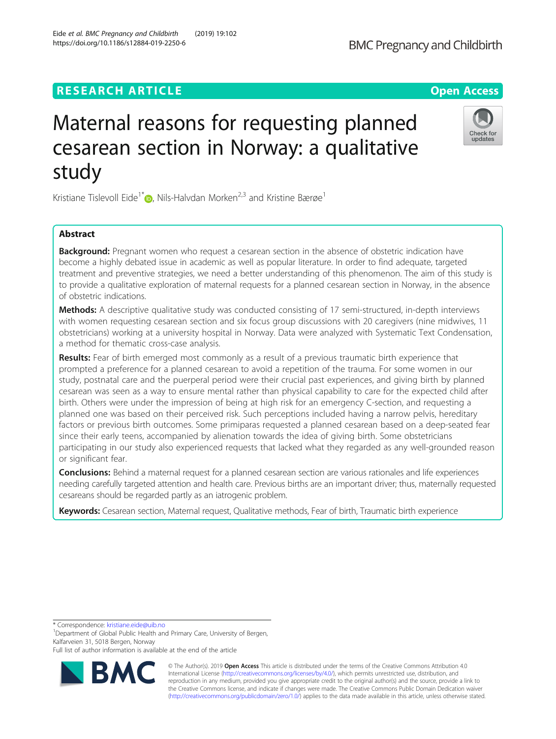## **RESEARCH ARTICLE Example 2014 12:30 The Contract of Contract ACCESS**

# Maternal reasons for requesting planned cesarean section in Norway: a qualitative study

Kristiane Tislevoll Eide<sup>1\*</sup> $\bullet$ [,](http://orcid.org/0000-0001-7529-4240) Nils-Halvdan Morken<sup>2,3</sup> and Kristine Bærøe<sup>1</sup>

## Abstract

**Background:** Pregnant women who reguest a cesarean section in the absence of obstetric indication have become a highly debated issue in academic as well as popular literature. In order to find adequate, targeted treatment and preventive strategies, we need a better understanding of this phenomenon. The aim of this study is to provide a qualitative exploration of maternal requests for a planned cesarean section in Norway, in the absence of obstetric indications.

Methods: A descriptive qualitative study was conducted consisting of 17 semi-structured, in-depth interviews with women requesting cesarean section and six focus group discussions with 20 caregivers (nine midwives, 11 obstetricians) working at a university hospital in Norway. Data were analyzed with Systematic Text Condensation, a method for thematic cross-case analysis.

Results: Fear of birth emerged most commonly as a result of a previous traumatic birth experience that prompted a preference for a planned cesarean to avoid a repetition of the trauma. For some women in our study, postnatal care and the puerperal period were their crucial past experiences, and giving birth by planned cesarean was seen as a way to ensure mental rather than physical capability to care for the expected child after birth. Others were under the impression of being at high risk for an emergency C-section, and requesting a planned one was based on their perceived risk. Such perceptions included having a narrow pelvis, hereditary factors or previous birth outcomes. Some primiparas requested a planned cesarean based on a deep-seated fear since their early teens, accompanied by alienation towards the idea of giving birth. Some obstetricians participating in our study also experienced requests that lacked what they regarded as any well-grounded reason or significant fear.

**Conclusions:** Behind a maternal request for a planned cesarean section are various rationales and life experiences needing carefully targeted attention and health care. Previous births are an important driver; thus, maternally requested cesareans should be regarded partly as an iatrogenic problem.

> © The Author(s). 2019 Open Access This article is distributed under the terms of the Creative Commons Attribution 4.0 International License [\(http://creativecommons.org/licenses/by/4.0/](http://creativecommons.org/licenses/by/4.0/)), which permits unrestricted use, distribution, and reproduction in any medium, provided you give appropriate credit to the original author(s) and the source, provide a link to the Creative Commons license, and indicate if changes were made. The Creative Commons Public Domain Dedication waiver [\(http://creativecommons.org/publicdomain/zero/1.0/](http://creativecommons.org/publicdomain/zero/1.0/)) applies to the data made available in this article, unless otherwise stated.

Keywords: Cesarean section, Maternal request, Qualitative methods, Fear of birth, Traumatic birth experience

\* Correspondence: [kristiane.eide@uib.no](mailto:kristiane.eide@uib.no) <sup>1</sup>

<sup>1</sup>Department of Global Public Health and Primary Care, University of Bergen, Kalfarveien 31, 5018 Bergen, Norway











Full list of author information is available at the end of the article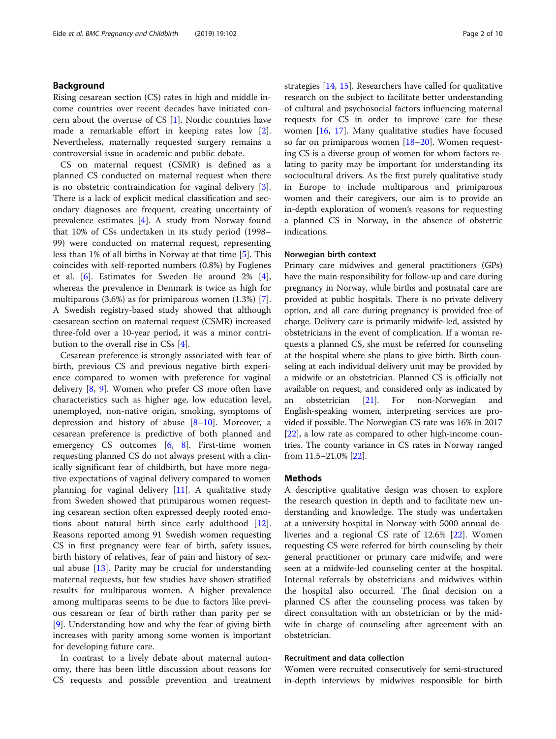## Background

Rising cesarean section (CS) rates in high and middle income countries over recent decades have initiated concern about the overuse of CS [\[1](#page-8-0)]. Nordic countries have made a remarkable effort in keeping rates low [\[2](#page-9-0)]. Nevertheless, maternally requested surgery remains a controversial issue in academic and public debate.

CS on maternal request (CSMR) is defined as a planned CS conducted on maternal request when there is no obstetric contraindication for vaginal delivery [\[3](#page-9-0)]. There is a lack of explicit medical classification and secondary diagnoses are frequent, creating uncertainty of prevalence estimates [\[4\]](#page-9-0). A study from Norway found that 10% of CSs undertaken in its study period (1998– 99) were conducted on maternal request, representing less than 1% of all births in Norway at that time [\[5](#page-9-0)]. This coincides with self-reported numbers (0.8%) by Fuglenes et al. [\[6](#page-9-0)]. Estimates for Sweden lie around 2% [\[4](#page-9-0)], whereas the prevalence in Denmark is twice as high for multiparous (3.6%) as for primiparous women (1.3%) [\[7](#page-9-0)]. A Swedish registry-based study showed that although caesarean section on maternal request (CSMR) increased three-fold over a 10-year period, it was a minor contribution to the overall rise in CSs [\[4](#page-9-0)].

Cesarean preference is strongly associated with fear of birth, previous CS and previous negative birth experience compared to women with preference for vaginal delivery [\[8](#page-9-0), [9](#page-9-0)]. Women who prefer CS more often have characteristics such as higher age, low education level, unemployed, non-native origin, smoking, symptoms of depression and history of abuse  $[8-10]$  $[8-10]$  $[8-10]$  $[8-10]$ . Moreover, a cesarean preference is predictive of both planned and emergency CS outcomes [\[6,](#page-9-0) [8](#page-9-0)]. First-time women requesting planned CS do not always present with a clinically significant fear of childbirth, but have more negative expectations of vaginal delivery compared to women planning for vaginal delivery [[11\]](#page-9-0). A qualitative study from Sweden showed that primiparous women requesting cesarean section often expressed deeply rooted emotions about natural birth since early adulthood [\[12](#page-9-0)]. Reasons reported among 91 Swedish women requesting CS in first pregnancy were fear of birth, safety issues, birth history of relatives, fear of pain and history of sexual abuse  $[13]$  $[13]$ . Parity may be crucial for understanding maternal requests, but few studies have shown stratified results for multiparous women. A higher prevalence among multiparas seems to be due to factors like previous cesarean or fear of birth rather than parity per se [[9\]](#page-9-0). Understanding how and why the fear of giving birth increases with parity among some women is important for developing future care.

In contrast to a lively debate about maternal autonomy, there has been little discussion about reasons for CS requests and possible prevention and treatment strategies [[14,](#page-9-0) [15\]](#page-9-0). Researchers have called for qualitative research on the subject to facilitate better understanding of cultural and psychosocial factors influencing maternal requests for CS in order to improve care for these women [\[16,](#page-9-0) [17](#page-9-0)]. Many qualitative studies have focused so far on primiparous women  $[18–20]$  $[18–20]$  $[18–20]$  $[18–20]$  $[18–20]$ . Women requesting CS is a diverse group of women for whom factors relating to parity may be important for understanding its sociocultural drivers. As the first purely qualitative study in Europe to include multiparous and primiparous women and their caregivers, our aim is to provide an in-depth exploration of women's reasons for requesting a planned CS in Norway, in the absence of obstetric indications.

## Norwegian birth context

Primary care midwives and general practitioners (GPs) have the main responsibility for follow-up and care during pregnancy in Norway, while births and postnatal care are provided at public hospitals. There is no private delivery option, and all care during pregnancy is provided free of charge. Delivery care is primarily midwife-led, assisted by obstetricians in the event of complication. If a woman requests a planned CS, she must be referred for counseling at the hospital where she plans to give birth. Birth counseling at each individual delivery unit may be provided by a midwife or an obstetrician. Planned CS is officially not available on request, and considered only as indicated by an obstetrician [\[21](#page-9-0)]. For non-Norwegian and English-speaking women, interpreting services are provided if possible. The Norwegian CS rate was 16% in 2017 [[22](#page-9-0)], a low rate as compared to other high-income countries. The county variance in CS rates in Norway ranged from 11.5–21.0% [\[22\]](#page-9-0).

## **Methods**

A descriptive qualitative design was chosen to explore the research question in depth and to facilitate new understanding and knowledge. The study was undertaken at a university hospital in Norway with 5000 annual deliveries and a regional CS rate of 12.6% [[22](#page-9-0)]. Women requesting CS were referred for birth counseling by their general practitioner or primary care midwife, and were seen at a midwife-led counseling center at the hospital. Internal referrals by obstetricians and midwives within the hospital also occurred. The final decision on a planned CS after the counseling process was taken by direct consultation with an obstetrician or by the midwife in charge of counseling after agreement with an obstetrician.

## Recruitment and data collection

Women were recruited consecutively for semi-structured in-depth interviews by midwives responsible for birth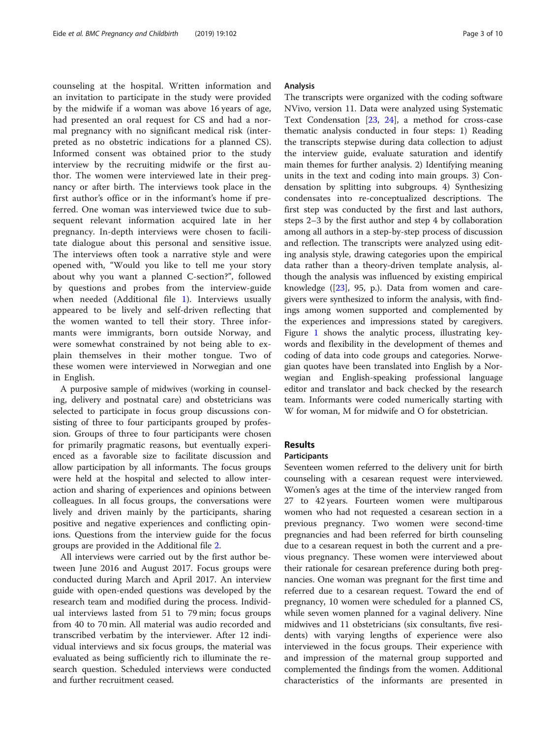counseling at the hospital. Written information and an invitation to participate in the study were provided by the midwife if a woman was above 16 years of age, had presented an oral request for CS and had a normal pregnancy with no significant medical risk (interpreted as no obstetric indications for a planned CS). Informed consent was obtained prior to the study interview by the recruiting midwife or the first author. The women were interviewed late in their pregnancy or after birth. The interviews took place in the first author's office or in the informant's home if preferred. One woman was interviewed twice due to subsequent relevant information acquired late in her pregnancy. In-depth interviews were chosen to facilitate dialogue about this personal and sensitive issue. The interviews often took a narrative style and were opened with, "Would you like to tell me your story about why you want a planned C-section?", followed by questions and probes from the interview-guide when needed (Additional file [1\)](#page-8-0). Interviews usually appeared to be lively and self-driven reflecting that the women wanted to tell their story. Three informants were immigrants, born outside Norway, and were somewhat constrained by not being able to explain themselves in their mother tongue. Two of these women were interviewed in Norwegian and one in English.

A purposive sample of midwives (working in counseling, delivery and postnatal care) and obstetricians was selected to participate in focus group discussions consisting of three to four participants grouped by profession. Groups of three to four participants were chosen for primarily pragmatic reasons, but eventually experienced as a favorable size to facilitate discussion and allow participation by all informants. The focus groups were held at the hospital and selected to allow interaction and sharing of experiences and opinions between colleagues. In all focus groups, the conversations were lively and driven mainly by the participants, sharing positive and negative experiences and conflicting opinions. Questions from the interview guide for the focus groups are provided in the Additional file [2.](#page-8-0)

All interviews were carried out by the first author between June 2016 and August 2017. Focus groups were conducted during March and April 2017. An interview guide with open-ended questions was developed by the research team and modified during the process. Individual interviews lasted from 51 to 79 min; focus groups from 40 to 70 min. All material was audio recorded and transcribed verbatim by the interviewer. After 12 individual interviews and six focus groups, the material was evaluated as being sufficiently rich to illuminate the research question. Scheduled interviews were conducted and further recruitment ceased.

## Analysis

The transcripts were organized with the coding software NVivo, version 11. Data were analyzed using Systematic Text Condensation [[23](#page-9-0), [24\]](#page-9-0), a method for cross-case thematic analysis conducted in four steps: 1) Reading the transcripts stepwise during data collection to adjust the interview guide, evaluate saturation and identify main themes for further analysis. 2) Identifying meaning units in the text and coding into main groups. 3) Condensation by splitting into subgroups. 4) Synthesizing condensates into re-conceptualized descriptions. The first step was conducted by the first and last authors, steps 2–3 by the first author and step 4 by collaboration among all authors in a step-by-step process of discussion and reflection. The transcripts were analyzed using editing analysis style, drawing categories upon the empirical data rather than a theory-driven template analysis, although the analysis was influenced by existing empirical knowledge  $(23)$  $(23)$  $(23)$ , 95, p.). Data from women and caregivers were synthesized to inform the analysis, with findings among women supported and complemented by the experiences and impressions stated by caregivers. Figure [1](#page-3-0) shows the analytic process, illustrating keywords and flexibility in the development of themes and coding of data into code groups and categories. Norwegian quotes have been translated into English by a Norwegian and English-speaking professional language editor and translator and back checked by the research team. Informants were coded numerically starting with W for woman, M for midwife and O for obstetrician.

## Results

#### Participants

Seventeen women referred to the delivery unit for birth counseling with a cesarean request were interviewed. Women's ages at the time of the interview ranged from 27 to 42 years. Fourteen women were multiparous women who had not requested a cesarean section in a previous pregnancy. Two women were second-time pregnancies and had been referred for birth counseling due to a cesarean request in both the current and a previous pregnancy. These women were interviewed about their rationale for cesarean preference during both pregnancies. One woman was pregnant for the first time and referred due to a cesarean request. Toward the end of pregnancy, 10 women were scheduled for a planned CS, while seven women planned for a vaginal delivery. Nine midwives and 11 obstetricians (six consultants, five residents) with varying lengths of experience were also interviewed in the focus groups. Their experience with and impression of the maternal group supported and complemented the findings from the women. Additional characteristics of the informants are presented in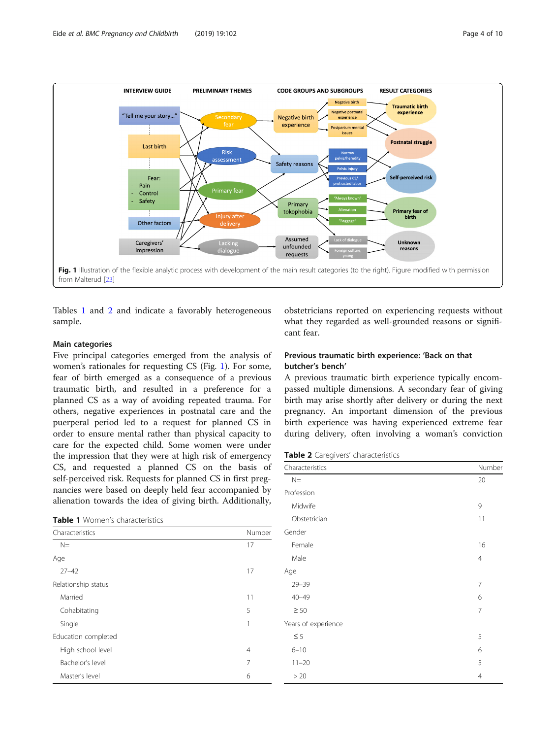<span id="page-3-0"></span>

Tables 1 and 2 and indicate a favorably heterogeneous sample.

#### Main categories

Five principal categories emerged from the analysis of women's rationales for requesting CS (Fig. 1). For some, fear of birth emerged as a consequence of a previous traumatic birth, and resulted in a preference for a planned CS as a way of avoiding repeated trauma. For others, negative experiences in postnatal care and the puerperal period led to a request for planned CS in order to ensure mental rather than physical capacity to care for the expected child. Some women were under the impression that they were at high risk of emergency CS, and requested a planned CS on the basis of self-perceived risk. Requests for planned CS in first pregnancies were based on deeply held fear accompanied by alienation towards the idea of giving birth. Additionally,

## Table 1 Women's characteristics

| Characteristics     | Number |
|---------------------|--------|
| $N =$               | 17     |
| Age                 |        |
| $27 - 42$           | 17     |
| Relationship status |        |
| Married             | 11     |
| Cohabitating        | 5      |
| Single              | 1      |
| Education completed |        |
| High school level   | 4      |
| Bachelor's level    | 7      |
| Master's level      | 6      |

obstetricians reported on experiencing requests without what they regarded as well-grounded reasons or significant fear.

## Previous traumatic birth experience: 'Back on that butcher's bench'

A previous traumatic birth experience typically encompassed multiple dimensions. A secondary fear of giving birth may arise shortly after delivery or during the next pregnancy. An important dimension of the previous birth experience was having experienced extreme fear during delivery, often involving a woman's conviction

|  |  | Table 2 Caregivers' characteristics |
|--|--|-------------------------------------|
|--|--|-------------------------------------|

| Characteristics     | Number |
|---------------------|--------|
| $N =$               | 20     |
| Profession          |        |
| Midwife             | 9      |
| Obstetrician        | 11     |
| Gender              |        |
| Female              | 16     |
| Male                | 4      |
| Age                 |        |
| $29 - 39$           | 7      |
| $40 - 49$           | 6      |
| $\geq 50$           | 7      |
| Years of experience |        |
| $\leq$ 5            | 5      |
| $6 - 10$            | 6      |
| $11 - 20$           | 5      |
| >20                 | 4      |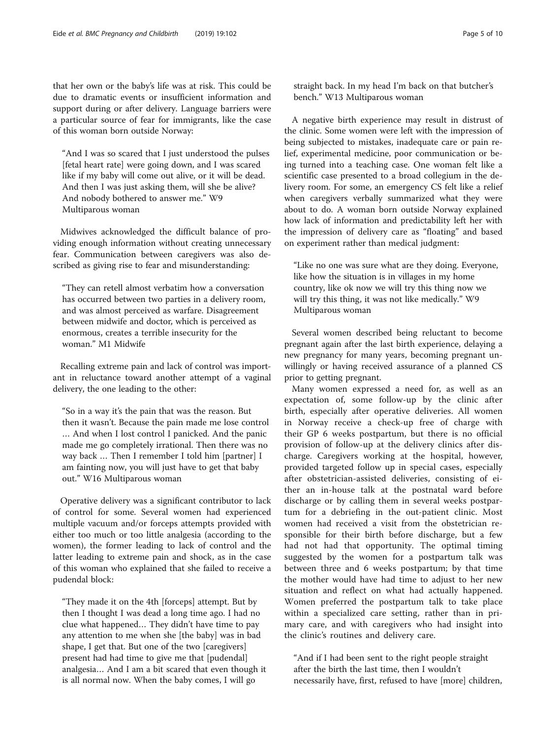that her own or the baby's life was at risk. This could be due to dramatic events or insufficient information and support during or after delivery. Language barriers were a particular source of fear for immigrants, like the case of this woman born outside Norway:

"And I was so scared that I just understood the pulses [fetal heart rate] were going down, and I was scared like if my baby will come out alive, or it will be dead. And then I was just asking them, will she be alive? And nobody bothered to answer me." W9 Multiparous woman

Midwives acknowledged the difficult balance of providing enough information without creating unnecessary fear. Communication between caregivers was also described as giving rise to fear and misunderstanding:

"They can retell almost verbatim how a conversation has occurred between two parties in a delivery room, and was almost perceived as warfare. Disagreement between midwife and doctor, which is perceived as enormous, creates a terrible insecurity for the woman." M1 Midwife

Recalling extreme pain and lack of control was important in reluctance toward another attempt of a vaginal delivery, the one leading to the other:

"So in a way it's the pain that was the reason. But then it wasn't. Because the pain made me lose control … And when I lost control I panicked. And the panic made me go completely irrational. Then there was no way back … Then I remember I told him [partner] I am fainting now, you will just have to get that baby out." W16 Multiparous woman

Operative delivery was a significant contributor to lack of control for some. Several women had experienced multiple vacuum and/or forceps attempts provided with either too much or too little analgesia (according to the women), the former leading to lack of control and the latter leading to extreme pain and shock, as in the case of this woman who explained that she failed to receive a pudendal block:

"They made it on the 4th [forceps] attempt. But by then I thought I was dead a long time ago. I had no clue what happened… They didn't have time to pay any attention to me when she [the baby] was in bad shape, I get that. But one of the two [caregivers] present had had time to give me that [pudendal] analgesia… And I am a bit scared that even though it is all normal now. When the baby comes, I will go

straight back. In my head I'm back on that butcher's bench." W13 Multiparous woman

A negative birth experience may result in distrust of the clinic. Some women were left with the impression of being subjected to mistakes, inadequate care or pain relief, experimental medicine, poor communication or being turned into a teaching case. One woman felt like a scientific case presented to a broad collegium in the delivery room. For some, an emergency CS felt like a relief when caregivers verbally summarized what they were about to do. A woman born outside Norway explained how lack of information and predictability left her with the impression of delivery care as "floating" and based on experiment rather than medical judgment:

"Like no one was sure what are they doing. Everyone, like how the situation is in villages in my home country, like ok now we will try this thing now we will try this thing, it was not like medically." W9 Multiparous woman

Several women described being reluctant to become pregnant again after the last birth experience, delaying a new pregnancy for many years, becoming pregnant unwillingly or having received assurance of a planned CS prior to getting pregnant.

Many women expressed a need for, as well as an expectation of, some follow-up by the clinic after birth, especially after operative deliveries. All women in Norway receive a check-up free of charge with their GP 6 weeks postpartum, but there is no official provision of follow-up at the delivery clinics after discharge. Caregivers working at the hospital, however, provided targeted follow up in special cases, especially after obstetrician-assisted deliveries, consisting of either an in-house talk at the postnatal ward before discharge or by calling them in several weeks postpartum for a debriefing in the out-patient clinic. Most women had received a visit from the obstetrician responsible for their birth before discharge, but a few had not had that opportunity. The optimal timing suggested by the women for a postpartum talk was between three and 6 weeks postpartum; by that time the mother would have had time to adjust to her new situation and reflect on what had actually happened. Women preferred the postpartum talk to take place within a specialized care setting, rather than in primary care, and with caregivers who had insight into the clinic's routines and delivery care.

"And if I had been sent to the right people straight after the birth the last time, then I wouldn't necessarily have, first, refused to have [more] children,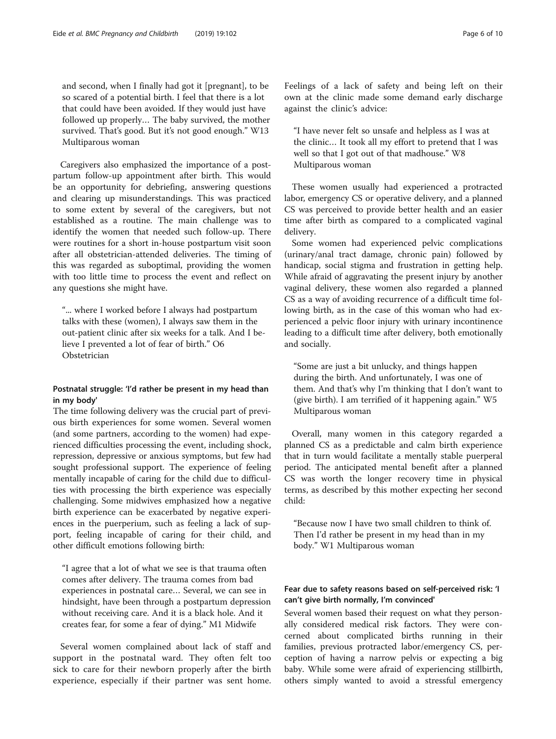and second, when I finally had got it [pregnant], to be so scared of a potential birth. I feel that there is a lot that could have been avoided. If they would just have followed up properly… The baby survived, the mother survived. That's good. But it's not good enough." W13 Multiparous woman

Caregivers also emphasized the importance of a postpartum follow-up appointment after birth. This would be an opportunity for debriefing, answering questions and clearing up misunderstandings. This was practiced to some extent by several of the caregivers, but not established as a routine. The main challenge was to identify the women that needed such follow-up. There were routines for a short in-house postpartum visit soon after all obstetrician-attended deliveries. The timing of this was regarded as suboptimal, providing the women with too little time to process the event and reflect on any questions she might have.

"... where I worked before I always had postpartum talks with these (women), I always saw them in the out-patient clinic after six weeks for a talk. And I believe I prevented a lot of fear of birth." O6 Obstetrician

## Postnatal struggle: 'I'd rather be present in my head than in my body'

The time following delivery was the crucial part of previous birth experiences for some women. Several women (and some partners, according to the women) had experienced difficulties processing the event, including shock, repression, depressive or anxious symptoms, but few had sought professional support. The experience of feeling mentally incapable of caring for the child due to difficulties with processing the birth experience was especially challenging. Some midwives emphasized how a negative birth experience can be exacerbated by negative experiences in the puerperium, such as feeling a lack of support, feeling incapable of caring for their child, and other difficult emotions following birth:

"I agree that a lot of what we see is that trauma often comes after delivery. The trauma comes from bad experiences in postnatal care… Several, we can see in hindsight, have been through a postpartum depression without receiving care. And it is a black hole. And it creates fear, for some a fear of dying." M1 Midwife

Several women complained about lack of staff and support in the postnatal ward. They often felt too sick to care for their newborn properly after the birth experience, especially if their partner was sent home.

Feelings of a lack of safety and being left on their own at the clinic made some demand early discharge against the clinic's advice:

"I have never felt so unsafe and helpless as I was at the clinic… It took all my effort to pretend that I was well so that I got out of that madhouse." W8 Multiparous woman

These women usually had experienced a protracted labor, emergency CS or operative delivery, and a planned CS was perceived to provide better health and an easier time after birth as compared to a complicated vaginal delivery.

Some women had experienced pelvic complications (urinary/anal tract damage, chronic pain) followed by handicap, social stigma and frustration in getting help. While afraid of aggravating the present injury by another vaginal delivery, these women also regarded a planned CS as a way of avoiding recurrence of a difficult time following birth, as in the case of this woman who had experienced a pelvic floor injury with urinary incontinence leading to a difficult time after delivery, both emotionally and socially.

"Some are just a bit unlucky, and things happen during the birth. And unfortunately, I was one of them. And that's why I'm thinking that I don't want to (give birth). I am terrified of it happening again." W5 Multiparous woman

Overall, many women in this category regarded a planned CS as a predictable and calm birth experience that in turn would facilitate a mentally stable puerperal period. The anticipated mental benefit after a planned CS was worth the longer recovery time in physical terms, as described by this mother expecting her second child:

"Because now I have two small children to think of. Then I'd rather be present in my head than in my body." W1 Multiparous woman

## Fear due to safety reasons based on self-perceived risk: 'I can't give birth normally, I'm convinced'

Several women based their request on what they personally considered medical risk factors. They were concerned about complicated births running in their families, previous protracted labor/emergency CS, perception of having a narrow pelvis or expecting a big baby. While some were afraid of experiencing stillbirth, others simply wanted to avoid a stressful emergency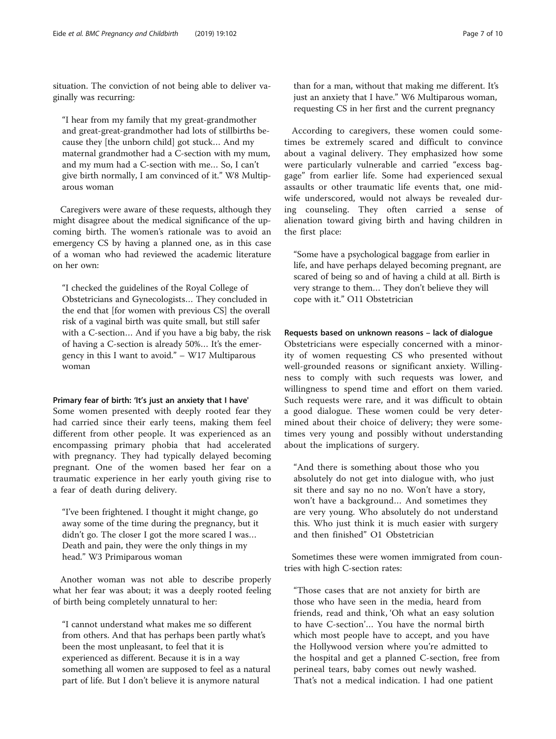situation. The conviction of not being able to deliver vaginally was recurring:

"I hear from my family that my great-grandmother and great-great-grandmother had lots of stillbirths because they [the unborn child] got stuck… And my maternal grandmother had a C-section with my mum, and my mum had a C-section with me… So, I can't give birth normally, I am convinced of it." W8 Multiparous woman

Caregivers were aware of these requests, although they might disagree about the medical significance of the upcoming birth. The women's rationale was to avoid an emergency CS by having a planned one, as in this case of a woman who had reviewed the academic literature on her own:

"I checked the guidelines of the Royal College of Obstetricians and Gynecologists… They concluded in the end that [for women with previous CS] the overall risk of a vaginal birth was quite small, but still safer with a C-section… And if you have a big baby, the risk of having a C-section is already 50%… It's the emergency in this I want to avoid." – W17 Multiparous woman

#### Primary fear of birth: 'It's just an anxiety that I have'

Some women presented with deeply rooted fear they had carried since their early teens, making them feel different from other people. It was experienced as an encompassing primary phobia that had accelerated with pregnancy. They had typically delayed becoming pregnant. One of the women based her fear on a traumatic experience in her early youth giving rise to a fear of death during delivery.

"I've been frightened. I thought it might change, go away some of the time during the pregnancy, but it didn't go. The closer I got the more scared I was… Death and pain, they were the only things in my head." W3 Primiparous woman

Another woman was not able to describe properly what her fear was about; it was a deeply rooted feeling of birth being completely unnatural to her:

"I cannot understand what makes me so different from others. And that has perhaps been partly what's been the most unpleasant, to feel that it is experienced as different. Because it is in a way something all women are supposed to feel as a natural part of life. But I don't believe it is anymore natural

According to caregivers, these women could sometimes be extremely scared and difficult to convince about a vaginal delivery. They emphasized how some were particularly vulnerable and carried "excess baggage" from earlier life. Some had experienced sexual assaults or other traumatic life events that, one midwife underscored, would not always be revealed during counseling. They often carried a sense of alienation toward giving birth and having children in the first place:

"Some have a psychological baggage from earlier in life, and have perhaps delayed becoming pregnant, are scared of being so and of having a child at all. Birth is very strange to them… They don't believe they will cope with it." O11 Obstetrician

#### Requests based on unknown reasons – lack of dialogue

Obstetricians were especially concerned with a minority of women requesting CS who presented without well-grounded reasons or significant anxiety. Willingness to comply with such requests was lower, and willingness to spend time and effort on them varied. Such requests were rare, and it was difficult to obtain a good dialogue. These women could be very determined about their choice of delivery; they were sometimes very young and possibly without understanding about the implications of surgery.

"And there is something about those who you absolutely do not get into dialogue with, who just sit there and say no no no. Won't have a story, won't have a background… And sometimes they are very young. Who absolutely do not understand this. Who just think it is much easier with surgery and then finished" O1 Obstetrician

Sometimes these were women immigrated from countries with high C-section rates:

"Those cases that are not anxiety for birth are those who have seen in the media, heard from friends, read and think, 'Oh what an easy solution to have C-section'… You have the normal birth which most people have to accept, and you have the Hollywood version where you're admitted to the hospital and get a planned C-section, free from perineal tears, baby comes out newly washed. That's not a medical indication. I had one patient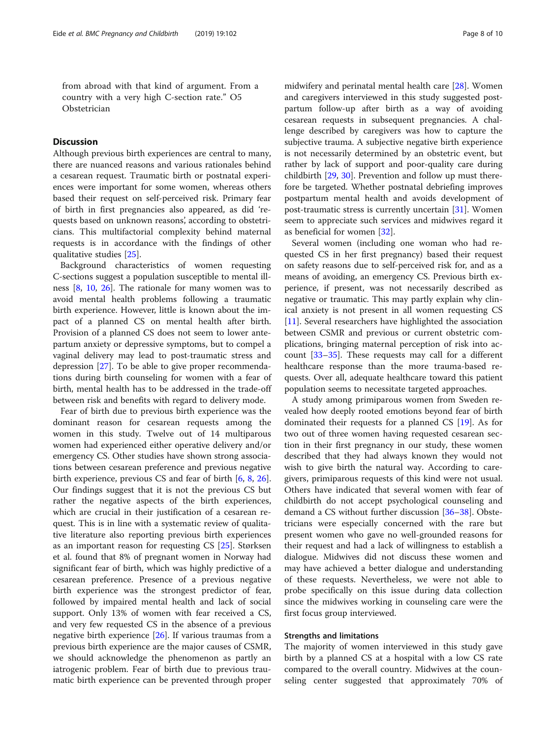from abroad with that kind of argument. From a country with a very high C-section rate." O5 **Obstetrician** 

## **Discussion**

Although previous birth experiences are central to many, there are nuanced reasons and various rationales behind a cesarean request. Traumatic birth or postnatal experiences were important for some women, whereas others based their request on self-perceived risk. Primary fear of birth in first pregnancies also appeared, as did 'requests based on unknown reasons', according to obstetricians. This multifactorial complexity behind maternal requests is in accordance with the findings of other qualitative studies [\[25](#page-9-0)].

Background characteristics of women requesting C-sections suggest a population susceptible to mental illness [\[8](#page-9-0), [10](#page-9-0), [26](#page-9-0)]. The rationale for many women was to avoid mental health problems following a traumatic birth experience. However, little is known about the impact of a planned CS on mental health after birth. Provision of a planned CS does not seem to lower antepartum anxiety or depressive symptoms, but to compel a vaginal delivery may lead to post-traumatic stress and depression [[27](#page-9-0)]. To be able to give proper recommendations during birth counseling for women with a fear of birth, mental health has to be addressed in the trade-off between risk and benefits with regard to delivery mode.

Fear of birth due to previous birth experience was the dominant reason for cesarean requests among the women in this study. Twelve out of 14 multiparous women had experienced either operative delivery and/or emergency CS. Other studies have shown strong associations between cesarean preference and previous negative birth experience, previous CS and fear of birth [\[6](#page-9-0), [8](#page-9-0), [26](#page-9-0)]. Our findings suggest that it is not the previous CS but rather the negative aspects of the birth experiences, which are crucial in their justification of a cesarean request. This is in line with a systematic review of qualitative literature also reporting previous birth experiences as an important reason for requesting CS [\[25](#page-9-0)]. Størksen et al. found that 8% of pregnant women in Norway had significant fear of birth, which was highly predictive of a cesarean preference. Presence of a previous negative birth experience was the strongest predictor of fear, followed by impaired mental health and lack of social support. Only 13% of women with fear received a CS, and very few requested CS in the absence of a previous negative birth experience [\[26](#page-9-0)]. If various traumas from a previous birth experience are the major causes of CSMR, we should acknowledge the phenomenon as partly an iatrogenic problem. Fear of birth due to previous traumatic birth experience can be prevented through proper

midwifery and perinatal mental health care [\[28](#page-9-0)]. Women and caregivers interviewed in this study suggested postpartum follow-up after birth as a way of avoiding cesarean requests in subsequent pregnancies. A challenge described by caregivers was how to capture the subjective trauma. A subjective negative birth experience is not necessarily determined by an obstetric event, but rather by lack of support and poor-quality care during childbirth [[29,](#page-9-0) [30\]](#page-9-0). Prevention and follow up must therefore be targeted. Whether postnatal debriefing improves postpartum mental health and avoids development of post-traumatic stress is currently uncertain [\[31](#page-9-0)]. Women seem to appreciate such services and midwives regard it as beneficial for women [\[32](#page-9-0)].

Several women (including one woman who had requested CS in her first pregnancy) based their request on safety reasons due to self-perceived risk for, and as a means of avoiding, an emergency CS. Previous birth experience, if present, was not necessarily described as negative or traumatic. This may partly explain why clinical anxiety is not present in all women requesting CS [[11\]](#page-9-0). Several researchers have highlighted the association between CSMR and previous or current obstetric complications, bringing maternal perception of risk into account [[33](#page-9-0)–[35](#page-9-0)]. These requests may call for a different healthcare response than the more trauma-based requests. Over all, adequate healthcare toward this patient population seems to necessitate targeted approaches.

A study among primiparous women from Sweden revealed how deeply rooted emotions beyond fear of birth dominated their requests for a planned CS [[19\]](#page-9-0). As for two out of three women having requested cesarean section in their first pregnancy in our study, these women described that they had always known they would not wish to give birth the natural way. According to caregivers, primiparous requests of this kind were not usual. Others have indicated that several women with fear of childbirth do not accept psychological counseling and demand a CS without further discussion [[36](#page-9-0)–[38\]](#page-9-0). Obstetricians were especially concerned with the rare but present women who gave no well-grounded reasons for their request and had a lack of willingness to establish a dialogue. Midwives did not discuss these women and may have achieved a better dialogue and understanding of these requests. Nevertheless, we were not able to probe specifically on this issue during data collection since the midwives working in counseling care were the first focus group interviewed.

## Strengths and limitations

The majority of women interviewed in this study gave birth by a planned CS at a hospital with a low CS rate compared to the overall country. Midwives at the counseling center suggested that approximately 70% of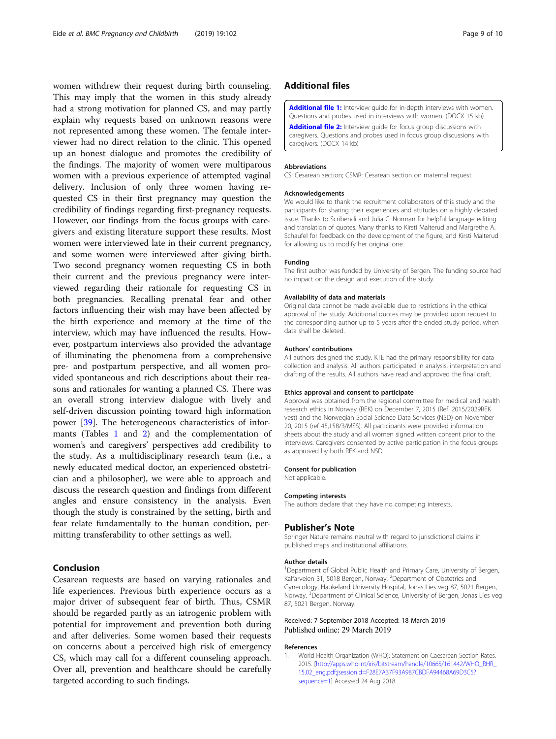<span id="page-8-0"></span>women withdrew their request during birth counseling. This may imply that the women in this study already had a strong motivation for planned CS, and may partly explain why requests based on unknown reasons were not represented among these women. The female interviewer had no direct relation to the clinic. This opened up an honest dialogue and promotes the credibility of the findings. The majority of women were multiparous women with a previous experience of attempted vaginal delivery. Inclusion of only three women having requested CS in their first pregnancy may question the credibility of findings regarding first-pregnancy requests. However, our findings from the focus groups with caregivers and existing literature support these results. Most women were interviewed late in their current pregnancy, and some women were interviewed after giving birth. Two second pregnancy women requesting CS in both their current and the previous pregnancy were interviewed regarding their rationale for requesting CS in both pregnancies. Recalling prenatal fear and other factors influencing their wish may have been affected by the birth experience and memory at the time of the interview, which may have influenced the results. However, postpartum interviews also provided the advantage of illuminating the phenomena from a comprehensive pre- and postpartum perspective, and all women provided spontaneous and rich descriptions about their reasons and rationales for wanting a planned CS. There was an overall strong interview dialogue with lively and self-driven discussion pointing toward high information power [\[39](#page-9-0)]. The heterogeneous characteristics of informants (Tables [1](#page-3-0) and [2\)](#page-3-0) and the complementation of women's and caregivers' perspectives add credibility to the study. As a multidisciplinary research team (i.e., a newly educated medical doctor, an experienced obstetrician and a philosopher), we were able to approach and discuss the research question and findings from different angles and ensure consistency in the analysis. Even though the study is constrained by the setting, birth and fear relate fundamentally to the human condition, permitting transferability to other settings as well.

## Conclusion

Cesarean requests are based on varying rationales and life experiences. Previous birth experience occurs as a major driver of subsequent fear of birth. Thus, CSMR should be regarded partly as an iatrogenic problem with potential for improvement and prevention both during and after deliveries. Some women based their requests on concerns about a perceived high risk of emergency CS, which may call for a different counseling approach. Over all, prevention and healthcare should be carefully targeted according to such findings.

## Additional files

[Additional file 1:](https://doi.org/10.1186/s12884-019-2250-6) Interview guide for in-depth interviews with women. Questions and probes used in interviews with women. (DOCX 15 kb) [Additional file 2:](https://doi.org/10.1186/s12884-019-2250-6) Interview guide for focus group discussions with caregivers. Questions and probes used in focus group discussions with caregivers. (DOCX 14 kb)

#### Abbreviations

CS: Cesarean section; CSMR: Cesarean section on maternal request

#### Acknowledgements

We would like to thank the recruitment collaborators of this study and the participants for sharing their experiences and attitudes on a highly debated issue. Thanks to Scribendi and Julia C. Norman for helpful language editing and translation of quotes. Many thanks to Kirsti Malterud and Margrethe A. Schaufel for feedback on the development of the figure, and Kirsti Malterud for allowing us to modify her original one.

#### Funding

The first author was funded by University of Bergen. The funding source had no impact on the design and execution of the study.

#### Availability of data and materials

Original data cannot be made available due to restrictions in the ethical approval of the study. Additional quotes may be provided upon request to the corresponding author up to 5 years after the ended study period, when data shall be deleted.

#### Authors' contributions

All authors designed the study. KTE had the primary responsibility for data collection and analysis. All authors participated in analysis, interpretation and drafting of the results. All authors have read and approved the final draft.

#### Ethics approval and consent to participate

Approval was obtained from the regional committee for medical and health research ethics in Norway (REK) on December 7, 2015 (Ref. 2015/2029REK vest) and the Norwegian Social Science Data Services (NSD) on November 20, 2015 (ref 45,158/3/MSS). All participants were provided information sheets about the study and all women signed written consent prior to the interviews. Caregivers consented by active participation in the focus groups as approved by both REK and NSD.

#### Consent for publication

Not applicable.

#### Competing interests

The authors declare that they have no competing interests.

#### Publisher's Note

Springer Nature remains neutral with regard to jurisdictional claims in published maps and institutional affiliations.

#### Author details

<sup>1</sup>Department of Global Public Health and Primary Care, University of Bergen, Kalfarveien 31, 5018 Bergen, Norway. <sup>2</sup>Department of Obstetrics and Gynecology, Haukeland University Hospital, Jonas Lies veg 87, 5021 Bergen, Norway. <sup>3</sup>Department of Clinical Science, University of Bergen, Jonas Lies veg 87, 5021 Bergen, Norway.

#### Received: 7 September 2018 Accepted: 18 March 2019 Published online: 29 March 2019

#### References

1. World Health Organization (WHO): Statement on Caesarean Section Rates. 2015. [[http://apps.who.int/iris/bitstream/handle/10665/161442/WHO\\_RHR\\_](http://apps.who.int/iris/bitstream/handle/10665/161442/WHO_RHR_15.02_eng.pdf;jsessionid=F28E7A37F93A987CBDFA94468A69D3C5?sequence=1) [15.02\\_eng.pdf;jsessionid=F28E7A37F93A987CBDFA94468A69D3C5?](http://apps.who.int/iris/bitstream/handle/10665/161442/WHO_RHR_15.02_eng.pdf;jsessionid=F28E7A37F93A987CBDFA94468A69D3C5?sequence=1) [sequence=1\]](http://apps.who.int/iris/bitstream/handle/10665/161442/WHO_RHR_15.02_eng.pdf;jsessionid=F28E7A37F93A987CBDFA94468A69D3C5?sequence=1) Accessed 24 Aug 2018.